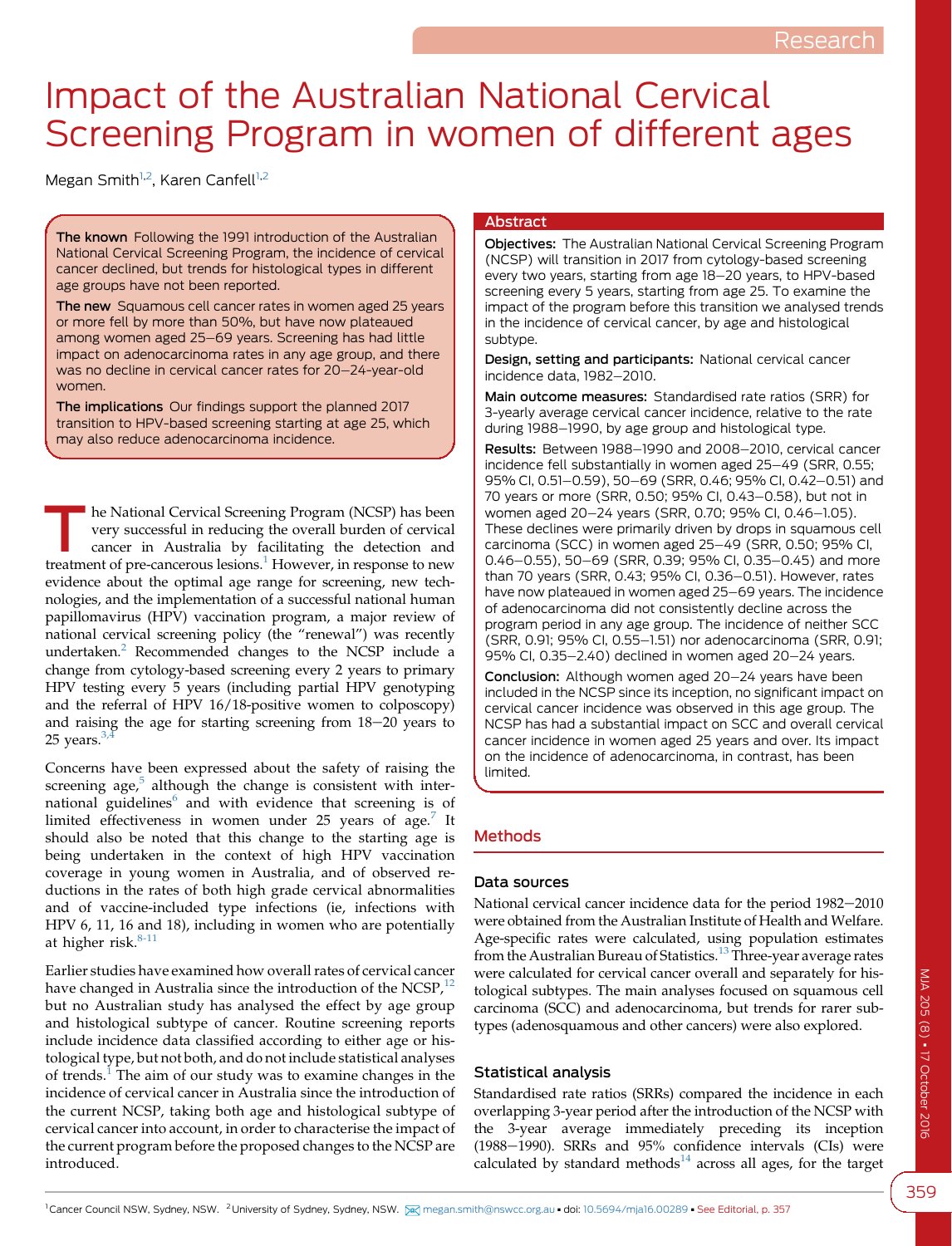# Impact of the Australian National Cervical Screening Program in women of different ages

Megan Smith<sup>1,2</sup>, Karen Canfell<sup>1,2</sup>

The known Following the 1991 introduction of the Australian National Cervical Screening Program, the incidence of cervical cancer declined, but trends for histological types in different age groups have not been reported.

The new Squamous cell cancer rates in women aged 25 years or more fell by more than 50%, but have now plateaued among women aged 25-69 years. Screening has had little impact on adenocarcinoma rates in any age group, and there was no decline in cervical cancer rates for 20–24-year-old women.

The implications Our findings support the planned 2017 transition to HPV-based screening starting at age 25, which may also reduce adenocarcinoma incidence.

he National Cervical Screening Program (NCSP) has been very successful in reducing the overall burden of cervical cancer in Australia by facilitating the detection and treatment of pre-cancerous lesions.<sup>[1](#page-4-0)</sup> However, in response to new evidence about the optimal age range for screening, new technologies, and the implementation of a successful national human papillomavirus (HPV) vaccination program, a major review of national cervical screening policy (the "renewal") was recently undertaken.<sup>[2](#page-4-0)</sup> Recommended changes to the NCSP include a change from cytology-based screening every 2 years to primary HPV testing every 5 years (including partial HPV genotyping and the referral of HPV 16/18-positive women to colposcopy) and raising the age for starting screening from  $18-20$  years to 25 years. $3$ 

Concerns have been expressed about the safety of raising the screening age, $5$  although the change is consistent with international guidelines $<sup>6</sup>$  $<sup>6</sup>$  $<sup>6</sup>$  and with evidence that screening is of</sup> limited effectiveness in women under 25 years of age.<sup>[7](#page-4-0)</sup> It should also be noted that this change to the starting age is being undertaken in the context of high HPV vaccination coverage in young women in Australia, and of observed reductions in the rates of both high grade cervical abnormalities and of vaccine-included type infections (ie, infections with HPV 6, 11, 16 and 18), including in women who are potentially at higher risk. $8-11$ 

Earlier studies have examined how overall rates of cervical cancer have changed in Australia since the introduction of the NCSP, $^{12}$  $^{12}$  $^{12}$ but no Australian study has analysed the effect by age group and histological subtype of cancer. Routine screening reports include incidence data classified according to either age or histological type, but not both, and do not include statistical analyses of trends.<sup>[1](#page-4-0)</sup> The aim of our study was to examine changes in the incidence of cervical cancer in Australia since the introduction of the current NCSP, taking both age and histological subtype of cervical cancer into account, in order to characterise the impact of the current program before the proposed changes to the NCSP are introduced.

#### **Abstract**

Objectives: The Australian National Cervical Screening Program (NCSP) will transition in 2017 from cytology-based screening every two years, starting from age 18-20 years, to HPV-based screening every 5 years, starting from age 25. To examine the impact of the program before this transition we analysed trends in the incidence of cervical cancer, by age and histological subtype.

Design, setting and participants: National cervical cancer incidence data, 1982-2010.

Main outcome measures: Standardised rate ratios (SRR) for 3-yearly average cervical cancer incidence, relative to the rate during 1988–1990, by age group and histological type.

Results: Between 1988-1990 and 2008-2010, cervical cancer incidence fell substantially in women aged 25-49 (SRR, 0.55; 95% CI, 0.51-0.59), 50-69 (SRR, 0.46; 95% CI, 0.42-0.51) and 70 years or more (SRR, 0.50; 95% CI, 0.43-0.58), but not in women aged 20-24 years (SRR, 0.70; 95% CI, 0.46-1.05). These declines were primarily driven by drops in squamous cell carcinoma (SCC) in women aged 25-49 (SRR, 0.50; 95% CI, 0.46-0.55), 50-69 (SRR, 0.39; 95% CI, 0.35-0.45) and more than 70 years (SRR, 0.43; 95% CI, 0.36-0.51). However, rates have now plateaued in women aged 25-69 years. The incidence of adenocarcinoma did not consistently decline across the program period in any age group. The incidence of neither SCC (SRR, 0.91; 95% CI, 0.55-1.51) nor adenocarcinoma (SRR, 0.91; 95% CI,  $0.35-2.40$ ) declined in women aged  $20-24$  years.

Conclusion: Although women aged 20-24 years have been included in the NCSP since its inception, no significant impact on cervical cancer incidence was observed in this age group. The NCSP has had a substantial impact on SCC and overall cervical cancer incidence in women aged 25 years and over. Its impact on the incidence of adenocarcinoma, in contrast, has been limited.

# Methods

# Data sources

National cervical cancer incidence data for the period 1982-2010 were obtained from the Australian Institute of Health and Welfare. Age-specific rates were calculated, using population estimates from the Australian Bureau of Statistics.<sup>[13](#page-5-0)</sup> Three-year average rates were calculated for cervical cancer overall and separately for histological subtypes. The main analyses focused on squamous cell carcinoma (SCC) and adenocarcinoma, but trends for rarer subtypes (adenosquamous and other cancers) were also explored.

# Statistical analysis

Standardised rate ratios (SRRs) compared the incidence in each overlapping 3-year period after the introduction of the NCSP with the 3-year average immediately preceding its inception (1988-1990). SRRs and 95% confidence intervals (CIs) were calculated by standard methods $^{14}$  $^{14}$  $^{14}$  across all ages, for the target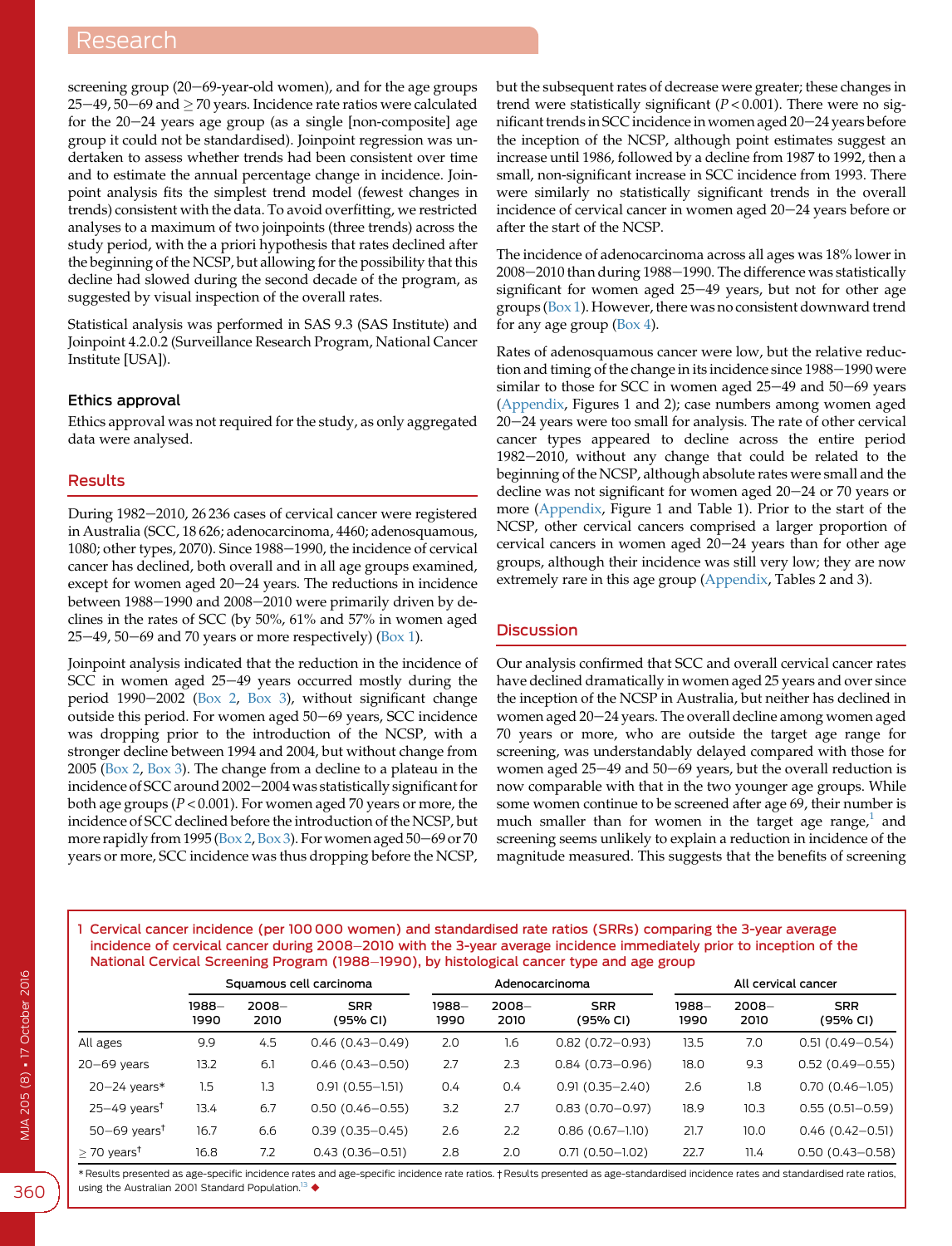screening group  $(20-69$ -year-old women), and for the age groups  $25-49$ ,  $50-69$  and  $>70$  years. Incidence rate ratios were calculated for the  $20-24$  years age group (as a single [non-composite] age group it could not be standardised). Joinpoint regression was undertaken to assess whether trends had been consistent over time and to estimate the annual percentage change in incidence. Joinpoint analysis fits the simplest trend model (fewest changes in trends) consistent with the data. To avoid overfitting, we restricted analyses to a maximum of two joinpoints (three trends) across the study period, with the a priori hypothesis that rates declined after the beginning of the NCSP, but allowing for the possibility that this decline had slowed during the second decade of the program, as suggested by visual inspection of the overall rates.

Statistical analysis was performed in SAS 9.3 (SAS Institute) and Joinpoint 4.2.0.2 (Surveillance Research Program, National Cancer Institute [USA]).

#### Ethics approval

Ethics approval was not required for the study, as only aggregated data were analysed.

### Results

During 1982-2010, 26 236 cases of cervical cancer were registered in Australia (SCC, 18 626; adenocarcinoma, 4460; adenosquamous, 1080; other types, 2070). Since 1988-1990, the incidence of cervical cancer has declined, both overall and in all age groups examined, except for women aged  $20-24$  years. The reductions in incidence between 1988-1990 and 2008-2010 were primarily driven by declines in the rates of SCC (by 50%, 61% and 57% in women aged  $25-49$ ,  $50-69$  and 70 years or more respectively) (Box 1).

Joinpoint analysis indicated that the reduction in the incidence of SCC in women aged  $25-49$  years occurred mostly during the period 1990 $-2002$  ([Box 2,](#page-2-0) [Box 3](#page-3-0)), without significant change outside this period. For women aged 50-69 years, SCC incidence was dropping prior to the introduction of the NCSP, with a stronger decline between 1994 and 2004, but without change from 2005 ([Box 2,](#page-2-0) [Box 3\)](#page-3-0). The change from a decline to a plateau in the incidence of SCC around 2002-2004 was statistically significant for both age groups ( $P < 0.001$ ). For women aged 70 years or more, the incidence of SCC declined before the introduction of the NCSP, but more rapidly from 1995 ([Box 2](#page-2-0), [Box 3\)](#page-3-0). For women aged 50-69 or 70 years or more, SCC incidence was thus dropping before the NCSP,

but the subsequent rates of decrease were greater; these changes in trend were statistically significant ( $P < 0.001$ ). There were no significant trends in SCC incidence in women aged 20-24 years before the inception of the NCSP, although point estimates suggest an increase until 1986, followed by a decline from 1987 to 1992, then a small, non-significant increase in SCC incidence from 1993. There were similarly no statistically significant trends in the overall incidence of cervical cancer in women aged 20-24 years before or after the start of the NCSP.

The incidence of adenocarcinoma across all ages was 18% lower in 2008-2010 than during 1988-1990. The difference was statistically significant for women aged  $25-49$  years, but not for other age groups (Box 1). However, there was no consistent downward trend for any age group ([Box 4](#page-3-0)).

Rates of adenosquamous cancer were low, but the relative reduction and timing of the change in its incidence since 1988–1990 were similar to those for SCC in women aged  $25-49$  and  $50-69$  years ([Appendix,](https://www.mja.com.au/sites/default/files/issues/205_08/10.5694mja16.00289_Appendix.pdf) Figures 1 and 2); case numbers among women aged  $20-24$  years were too small for analysis. The rate of other cervical cancer types appeared to decline across the entire period  $1982-2010$ , without any change that could be related to the beginning of the NCSP, although absolute rates were small and the decline was not significant for women aged  $20-24$  or 70 years or more [\(Appendix](https://www.mja.com.au/sites/default/files/issues/205_08/10.5694mja16.00289_Appendix.pdf), Figure 1 and Table 1). Prior to the start of the NCSP, other cervical cancers comprised a larger proportion of cervical cancers in women aged  $20-24$  years than for other age groups, although their incidence was still very low; they are now extremely rare in this age group ([Appendix](https://www.mja.com.au/sites/default/files/issues/205_08/10.5694mja16.00289_Appendix.pdf), Tables 2 and 3).

#### **Discussion**

Our analysis confirmed that SCC and overall cervical cancer rates have declined dramatically in women aged 25 years and over since the inception of the NCSP in Australia, but neither has declined in women aged 20-24 years. The overall decline among women aged 70 years or more, who are outside the target age range for screening, was understandably delayed compared with those for women aged 25-49 and 50-69 years, but the overall reduction is now comparable with that in the two younger age groups. While some women continue to be screened after age 69, their number is much smaller than for women in the target age range, $\frac{1}{1}$  $\frac{1}{1}$  $\frac{1}{1}$  and screening seems unlikely to explain a reduction in incidence of the magnitude measured. This suggests that the benefits of screening

1 Cervical cancer incidence (per 100 000 women) and standardised rate ratios (SRRs) comparing the 3-year average incidence of cervical cancer during 2008-2010 with the 3-year average incidence immediately prior to inception of the National Cervical Screening Program (1988–1990), by histological cancer type and age group

|                              | Squamous cell carcinoma |                  | Adenocarcinoma         |               |                  | All cervical cancer    |               |                  |                        |
|------------------------------|-------------------------|------------------|------------------------|---------------|------------------|------------------------|---------------|------------------|------------------------|
|                              | 1988–<br>1990           | $2008 -$<br>2010 | <b>SRR</b><br>(95% CI) | 1988-<br>1990 | $2008 -$<br>2010 | <b>SRR</b><br>(95% CI) | 1988-<br>1990 | $2008 -$<br>2010 | <b>SRR</b><br>(95% CI) |
| All ages                     | 9.9                     | 4.5              | $0.46(0.43 - 0.49)$    | 2.0           | 1.6              | $0.82(0.72 - 0.93)$    | 13.5          | 7.0              | $0.51(0.49 - 0.54)$    |
| $20 - 69$ years              | 13.2                    | 6.1              | $0.46(0.43 - 0.50)$    | 2.7           | 2.3              | $0.84(0.73 - 0.96)$    | 18.0          | 9.3              | $0.52(0.49 - 0.55)$    |
| $20 - 24$ years*             | 1.5                     | 1.3              | $0.91(0.55 - 1.51)$    | 0.4           | 0.4              | $0.91(0.35 - 2.40)$    | 2.6           | 1.8              | $0.70(0.46 - 1.05)$    |
| $25 - 49$ years <sup>t</sup> | 13.4                    | 6.7              | $0.50(0.46 - 0.55)$    | 3.2           | 2.7              | $0.83(0.70 - 0.97)$    | 18.9          | 10.3             | $0.55(0.51 - 0.59)$    |
| $50-69$ years <sup>†</sup>   | 16.7                    | 6.6              | $0.39(0.35 - 0.45)$    | 2.6           | 2.2              | $0.86(0.67-1.10)$      | 21.7          | 10.0             | $0.46(0.42 - 0.51)$    |
| $>$ 70 years <sup>†</sup>    | 16.8                    | 7.2              | $0.43(0.36 - 0.51)$    | 2.8           | 2.0              | $0.71(0.50 - 1.02)$    | 22.7          | 11.4             | $0.50(0.43 - 0.58)$    |

\* Results presented as age-specific incidence rates and age-specific incidence rate ratios. † Results presented as age-standardised incidence rates and standardised rate ratios, using the Australian 2001 Standard Population.<sup>13</sup>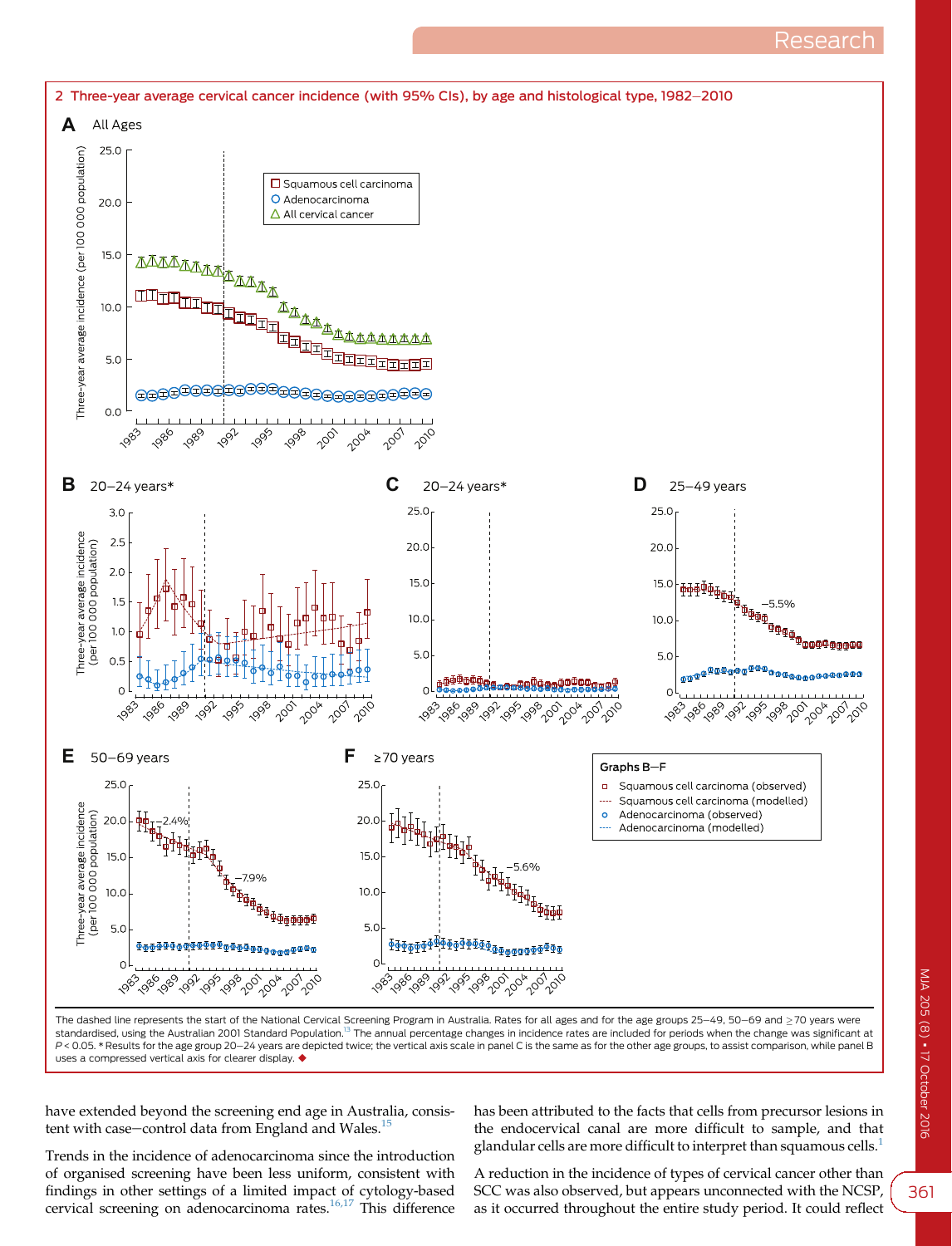Research

<span id="page-2-0"></span>

The dashed line represents the start of the National Cervical Screening Program in Australia. Rates for all ages and for the age groups 25-49, 50-69 and  $\geq$  70 years were standardised, using the Australian 2001 Standard Population.<sup>[13](#page-5-0)</sup> The annual percentage changes in incidence rates are included for periods when the change was significant at P < 0.05. \* Results for the age group 20-24 years are depicted twice; the vertical axis scale in panel C is the same as for the other age groups, to assist comparison, while panel B uses a compressed vertical axis for clearer display.  $\blacklozenge$ 

have extended beyond the screening end age in Australia, consistent with case-control data from England and Wales. $15$ 

Trends in the incidence of adenocarcinoma since the introduction of organised screening have been less uniform, consistent with findings in other settings of a limited impact of cytology-based cervical screening on adenocarcinoma rates[.16,17](#page-5-0) This difference has been attributed to the facts that cells from precursor lesions in the endocervical canal are more difficult to sample, and that glandular cells are more difficult to interpret than squamous cells.<sup>[1](#page-4-0)</sup>

A reduction in the incidence of types of cervical cancer other than SCC was also observed, but appears unconnected with the NCSP, as it occurred throughout the entire study period. It could reflect

361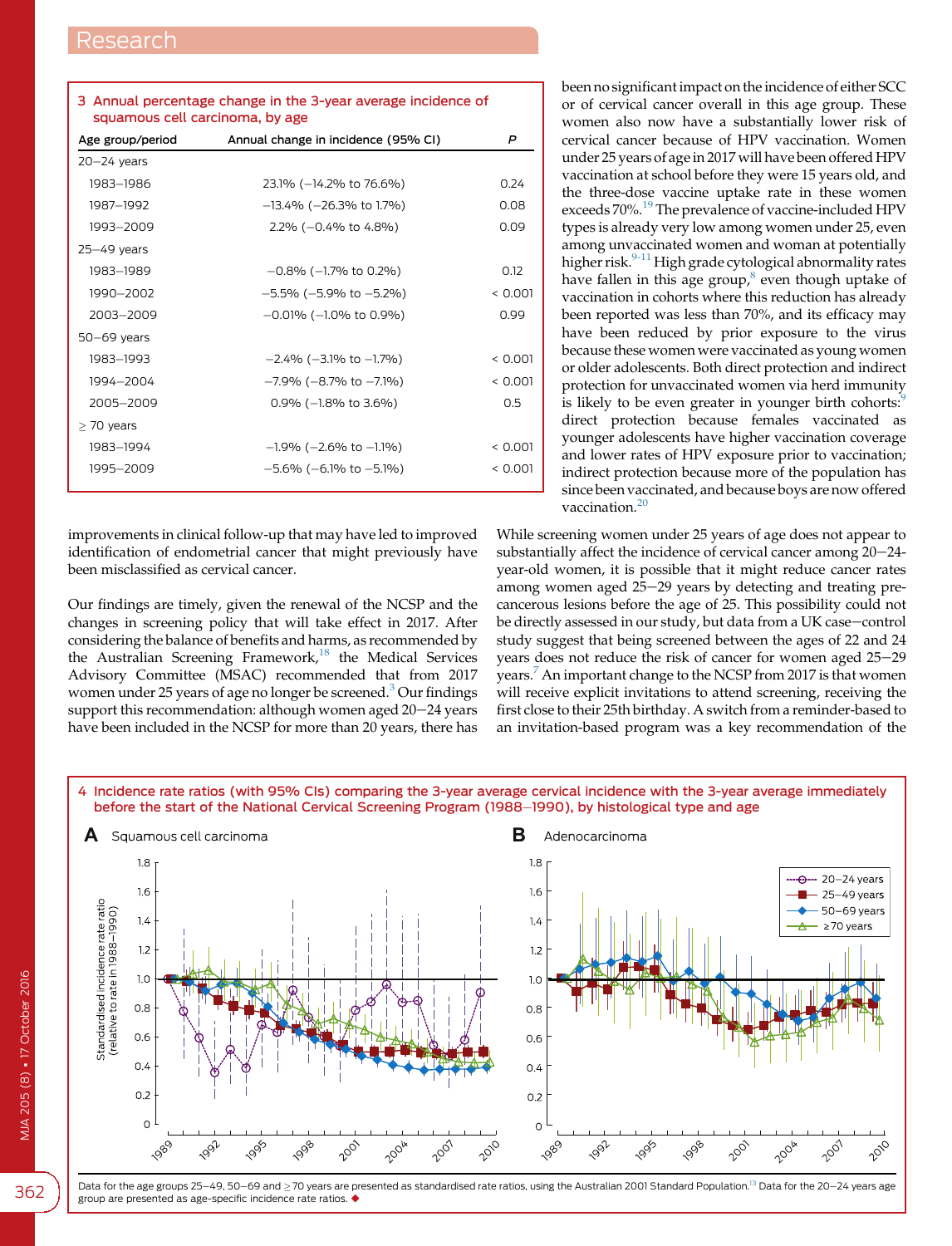<span id="page-3-0"></span>

| 3 Annual percentage change in the 3-year average incidence of |
|---------------------------------------------------------------|
| squamous cell carcinoma, by age                               |

| Age group/period | Annual change in incidence (95% CI) | P       |
|------------------|-------------------------------------|---------|
| $20 - 24$ years  |                                     |         |
| 1983-1986        | 23.1% (-14.2% to 76.6%)             | 0.24    |
| 1987-1992        | $-13.4\%$ ( $-26.3\%$ to 1.7%)      | 0.08    |
| 1993-2009        | $2.2\%$ (-0.4% to 4.8%)             | 0.09    |
| $25 - 49$ years  |                                     |         |
| 1983-1989        | $-0.8\%$ ( $-1.7\%$ to 0.2%)        | 0.12    |
| 1990-2002        | $-5.5\%$ ( $-5.9\%$ to $-5.2\%$ )   | < 0.001 |
| 2003-2009        | $-0.01\%$ ( $-1.0\%$ to 0.9%)       | 0.99    |
| $50-69$ years    |                                     |         |
| 1983-1993        | $-2.4\%$ ( $-3.1\%$ to $-1.7\%$ )   | < 0.001 |
| 1994-2004        | $-7.9\%$ ( $-8.7\%$ to $-7.1\%$ )   | < 0.001 |
| 2005-2009        | $0.9\%$ (-1.8% to 3.6%)             | 0.5     |
| $>$ 70 years     |                                     |         |
| 1983-1994        | $-1.9\%$ ( $-2.6\%$ to $-1.1\%$ )   | < 0.001 |
| 1995-2009        | $-5.6\%$ ( $-6.1\%$ to $-5.1\%$ )   | < 0.001 |

improvements in clinical follow-up that may have led to improved identification of endometrial cancer that might previously have been misclassified as cervical cancer.

Our findings are timely, given the renewal of the NCSP and the changes in screening policy that will take effect in 2017. After considering the balance of benefits and harms, as recommended by the Australian Screening Framework,<sup>[18](#page-5-0)</sup> the Medical Services Advisory Committee (MSAC) recommended that from 2017 women under 25 years of age no longer be screened.<sup>[3](#page-4-0)</sup> Our findings support this recommendation: although women aged  $20-24$  years have been included in the NCSP for more than 20 years, there has been no significant impact on the incidence of either SCC or of cervical cancer overall in this age group. These women also now have a substantially lower risk of cervical cancer because of HPV vaccination. Women under 25 years of age in 2017 will have been offered HPV vaccination at school before they were 15 years old, and the three-dose vaccine uptake rate in these women exceeds 70%.<sup>[19](#page-5-0)</sup> The prevalence of vaccine-included HPV types is already very low among women under 25, even among unvaccinated women and woman at potentially higher risk.<sup>[9-11](#page-5-0)</sup> High grade cytological abnormality rates have fallen in this age group, $8$  even though uptake of vaccination in cohorts where this reduction has already been reported was less than 70%, and its efficacy may have been reduced by prior exposure to the virus because these women were vaccinated as young women or older adolescents. Both direct protection and indirect protection for unvaccinated women via herd immunity is likely to be even greater in younger birth cohorts:<sup>[9](#page-5-0)</sup> direct protection because females vaccinated as younger adolescents have higher vaccination coverage and lower rates of HPV exposure prior to vaccination; indirect protection because more of the population has since been vaccinated, and because boys are now offered vaccination. $20$ 

While screening women under 25 years of age does not appear to substantially affect the incidence of cervical cancer among  $20-24$ year-old women, it is possible that it might reduce cancer rates among women aged  $25-29$  years by detecting and treating precancerous lesions before the age of 25. This possibility could not be directly assessed in our study, but data from a UK case-control study suggest that being screened between the ages of 22 and 24 years does not reduce the risk of cancer for women aged 25-29 years.<sup>[7](#page-4-0)</sup> An important change to the NCSP from 2017 is that women will receive explicit invitations to attend screening, receiving the first close to their 25th birthday. A switch from a reminder-based to an invitation-based program was a key recommendation of the



4 Incidence rate ratios (with 95% CIs) comparing the 3-year average cervical incidence with the 3-year average immediately



Data for the age groups 25-49, 50-69 and  $\geq$  70 years are presented as standardised rate ratios, using the Australian 2001 Standard Population.<sup>[13](#page-5-0)</sup> Data for the 20-24 years age group are presented as age-specific incidence rate ratios.  $\blacklozenge$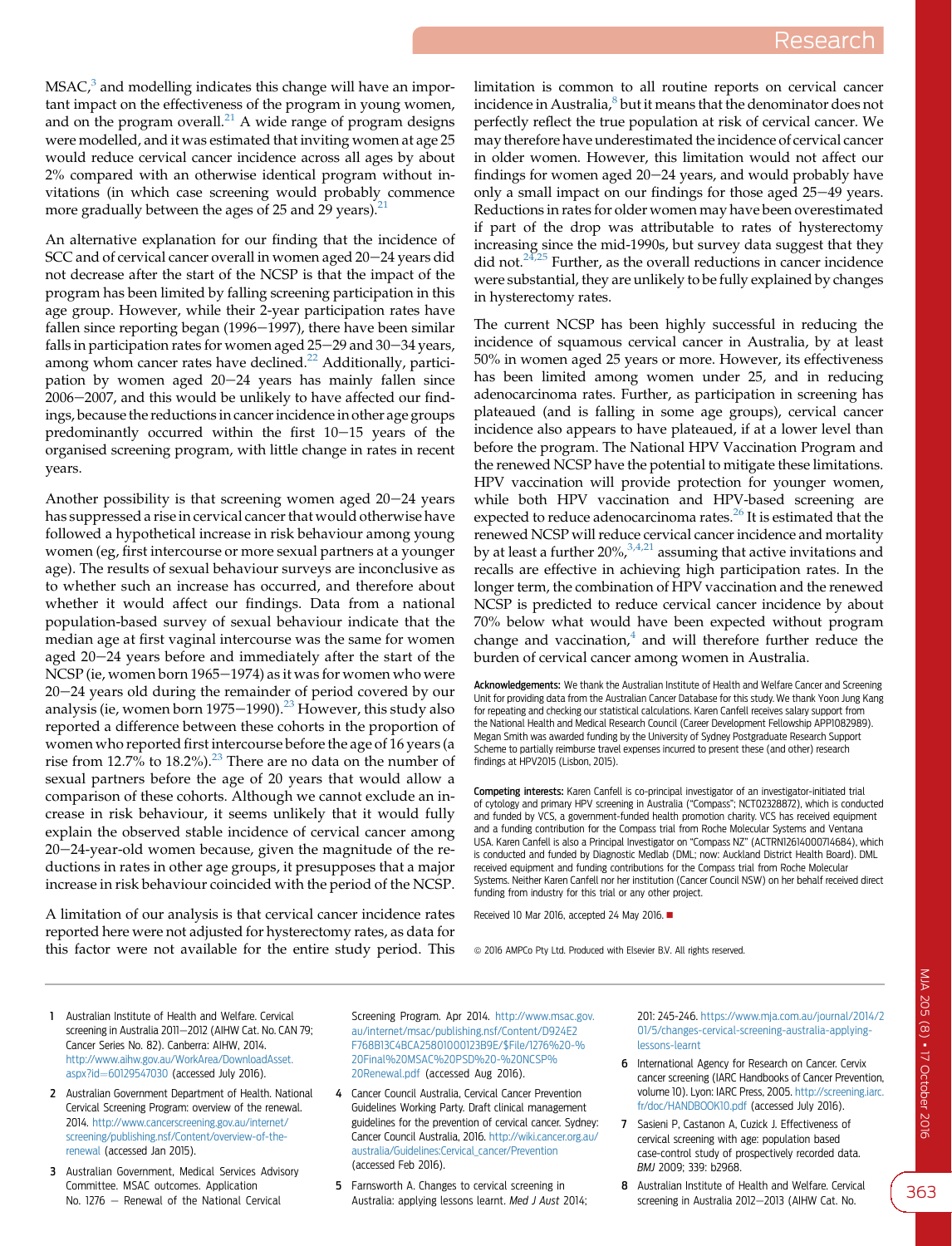<span id="page-4-0"></span> $MSAC<sub>i</sub><sup>3</sup>$  and modelling indicates this change will have an important impact on the effectiveness of the program in young women, and on the program overall. $^{21}$  $^{21}$  $^{21}$  A wide range of program designs were modelled, and it was estimated that inviting women at age 25 would reduce cervical cancer incidence across all ages by about 2% compared with an otherwise identical program without invitations (in which case screening would probably commence more gradually between the ages of 25 and 29 years).<sup>[21](#page-5-0)</sup>

An alternative explanation for our finding that the incidence of SCC and of cervical cancer overall in women aged 20-24 years did not decrease after the start of the NCSP is that the impact of the program has been limited by falling screening participation in this age group. However, while their 2-year participation rates have fallen since reporting began  $(1996-1997)$ , there have been similar falls in participation rates for women aged  $25-29$  and  $30-34$  years, among whom cancer rates have declined.<sup>22</sup> Additionally, participation by women aged  $20-24$  years has mainly fallen since 2006-2007, and this would be unlikely to have affected our findings, because the reductions in cancer incidence in other age groups predominantly occurred within the first  $10-15$  years of the organised screening program, with little change in rates in recent years.

Another possibility is that screening women aged  $20-24$  years has suppressed a rise in cervical cancer that would otherwise have followed a hypothetical increase in risk behaviour among young women (eg, first intercourse or more sexual partners at a younger age). The results of sexual behaviour surveys are inconclusive as to whether such an increase has occurred, and therefore about whether it would affect our findings. Data from a national population-based survey of sexual behaviour indicate that the median age at first vaginal intercourse was the same for women aged  $20-24$  years before and immediately after the start of the NCSP (ie, women born 1965 $-1974$ ) as it was for women who were  $20-24$  years old during the remainder of period covered by our analysis (ie, women born 1975–1990).<sup>[23](#page-5-0)</sup> However, this study also reported a difference between these cohorts in the proportion of women who reported first intercourse before the age of 16 years (a rise from 12.7% to 18.2%).<sup>[23](#page-5-0)</sup> There are no data on the number of sexual partners before the age of 20 years that would allow a comparison of these cohorts. Although we cannot exclude an increase in risk behaviour, it seems unlikely that it would fully explain the observed stable incidence of cervical cancer among  $20-24$ -year-old women because, given the magnitude of the reductions in rates in other age groups, it presupposes that a major increase in risk behaviour coincided with the period of the NCSP.

A limitation of our analysis is that cervical cancer incidence rates reported here were not adjusted for hysterectomy rates, as data for this factor were not available for the entire study period. This

limitation is common to all routine reports on cervical cancer incidence in Australia,<sup>8</sup> but it means that the denominator does not perfectly reflect the true population at risk of cervical cancer. We may therefore have underestimated the incidence of cervical cancer in older women. However, this limitation would not affect our findings for women aged  $20-24$  years, and would probably have only a small impact on our findings for those aged  $25-49$  years. Reductions in rates for older women may have been overestimated if part of the drop was attributable to rates of hysterectomy increasing since the mid-1990s, but survey data suggest that they did not. $24,25$  Further, as the overall reductions in cancer incidence were substantial, they are unlikely to be fully explained by changes in hysterectomy rates.

The current NCSP has been highly successful in reducing the incidence of squamous cervical cancer in Australia, by at least 50% in women aged 25 years or more. However, its effectiveness has been limited among women under 25, and in reducing adenocarcinoma rates. Further, as participation in screening has plateaued (and is falling in some age groups), cervical cancer incidence also appears to have plateaued, if at a lower level than before the program. The National HPV Vaccination Program and the renewed NCSP have the potential to mitigate these limitations. HPV vaccination will provide protection for younger women, while both HPV vaccination and HPV-based screening are expected to reduce adenocarcinoma rates.<sup>[26](#page-5-0)</sup> It is estimated that the renewed NCSP will reduce cervical cancer incidence and mortality by at least a further  $20\%,^{3,4,21}$  assuming that active invitations and recalls are effective in achieving high participation rates. In the longer term, the combination of HPV vaccination and the renewed NCSP is predicted to reduce cervical cancer incidence by about 70% below what would have been expected without program change and vaccination, $4$  and will therefore further reduce the burden of cervical cancer among women in Australia.

Acknowledgements: We thank the Australian Institute of Health and Welfare Cancer and Screening Unit for providing data from the Australian Cancer Database for this study. We thank Yoon Jung Kang for repeating and checking our statistical calculations. Karen Canfell receives salary support from the National Health and Medical Research Council (Career Development Fellowship APP1082989). Megan Smith was awarded funding by the University of Sydney Postgraduate Research Support Scheme to partially reimburse travel expenses incurred to present these (and other) research findings at HPV2015 (Lisbon, 2015).

Competing interests: Karen Canfell is co-principal investigator of an investigator-initiated trial of cytology and primary HPV screening in Australia ("Compass"; NCT02328872), which is conducted and funded by VCS, a government-funded health promotion charity. VCS has received equipment and a funding contribution for the Compass trial from Roche Molecular Systems and Ventana USA. Karen Canfell is also a Principal Investigator on "Compass NZ" (ACTRN12614000714684), which is conducted and funded by Diagnostic Medlab (DML; now: Auckland District Health Board). DML received equipment and funding contributions for the Compass trial from Roche Molecular Systems. Neither Karen Canfell nor her institution (Cancer Council NSW) on her behalf received direct funding from industry for this trial or any other project.

Received 10 Mar 2016, accepted 24 May 2016.

 $\circ$  2016 AMPCo Pty Ltd. Produced with Elsevier B.V. All rights reserved.

- 1 Australian Institute of Health and Welfare. Cervical screening in Australia 2011-2012 (AIHW Cat. No. CAN 79: Cancer Series No. 82). Canberra: AIHW, 2014. [http://www.aihw.gov.au/WorkArea/DownloadAsset.](http://www.aihw.gov.au/WorkArea/DownloadAsset.aspx?id=60129547030) [aspx?id](http://www.aihw.gov.au/WorkArea/DownloadAsset.aspx?id=60129547030)=[60129547030](http://www.aihw.gov.au/WorkArea/DownloadAsset.aspx?id=60129547030) (accessed July 2016).
- 2 Australian Government Department of Health. National Cervical Screening Program: overview of the renewal. 2014. [http://www.cancerscreening.gov.au/internet/](http://www.cancerscreening.gov.au/internet/screening/publishing.nsf/Content/overview-of-the-renewal) [screening/publishing.nsf/Content/overview-of-the](http://www.cancerscreening.gov.au/internet/screening/publishing.nsf/Content/overview-of-the-renewal)[renewal](http://www.cancerscreening.gov.au/internet/screening/publishing.nsf/Content/overview-of-the-renewal) (accessed Jan 2015).
- 3 Australian Government, Medical Services Advisory Committee. MSAC outcomes. Application No. 1276  $-$  Renewal of the National Cervical

Screening Program. Apr 2014. [http://www.msac.gov.](http://www.msac.gov.au/internet/msac/publishing.nsf/Content/D924E2F768B13C4BCA25801000123B9E/$File/1276%20-%20Final%20MSAC%20PSD%20-%20NCSP%20Renewal.pdf) [au/internet/msac/publishing.nsf/Content/D924E2](http://www.msac.gov.au/internet/msac/publishing.nsf/Content/D924E2F768B13C4BCA25801000123B9E/$File/1276%20-%20Final%20MSAC%20PSD%20-%20NCSP%20Renewal.pdf) [F768B13C4BCA25801000123B9E/\\$File/1276%20-%](http://www.msac.gov.au/internet/msac/publishing.nsf/Content/D924E2F768B13C4BCA25801000123B9E/$File/1276%20-%20Final%20MSAC%20PSD%20-%20NCSP%20Renewal.pdf) [20Final%20MSAC%20PSD%20-%20NCSP%](http://www.msac.gov.au/internet/msac/publishing.nsf/Content/D924E2F768B13C4BCA25801000123B9E/$File/1276%20-%20Final%20MSAC%20PSD%20-%20NCSP%20Renewal.pdf) [20Renewal.pdf](http://www.msac.gov.au/internet/msac/publishing.nsf/Content/D924E2F768B13C4BCA25801000123B9E/$File/1276%20-%20Final%20MSAC%20PSD%20-%20NCSP%20Renewal.pdf) (accessed Aug 2016).

- 4 Cancer Council Australia, Cervical Cancer Prevention Guidelines Working Party. Draft clinical management guidelines for the prevention of cervical cancer. Sydney: Cancer Council Australia, 2016. [http://wiki.cancer.org.au/](http://wiki.cancer.org.au/australia/Guidelines:Cervical_cancer/Prevention) [australia/Guidelines:Cervical\\_cancer/Prevention](http://wiki.cancer.org.au/australia/Guidelines:Cervical_cancer/Prevention) (accessed Feb 2016).
- 5 Farnsworth A. Changes to cervical screening in Australia: applying lessons learnt. Med J Aust 2014;

201: 245-246. [https://www.mja.com.au/journal/2014/2](https://www.mja.com.au/journal/2014/201/5/changes-cervical-screening-australia-applying-lessons-learnt) [01/5/changes-cervical-screening-australia-applying](https://www.mja.com.au/journal/2014/201/5/changes-cervical-screening-australia-applying-lessons-learnt)[lessons-learnt](https://www.mja.com.au/journal/2014/201/5/changes-cervical-screening-australia-applying-lessons-learnt)

- 6 International Agency for Research on Cancer. Cervix cancer screening (IARC Handbooks of Cancer Prevention, volume 10). Lyon: IARC Press, 2005. [http://screening.iarc.](http://screening.iarc.fr/doc/HANDBOOK10.pdf) [fr/doc/HANDBOOK10.pdf](http://screening.iarc.fr/doc/HANDBOOK10.pdf) (accessed July 2016).
- 7 Sasieni P, Castanon A, Cuzick J. Effectiveness of cervical screening with age: population based case-control study of prospectively recorded data. BMJ 2009; 339: b2968.
- 8 Australian Institute of Health and Welfare. Cervical screening in Australia 2012-2013 (AIHW Cat. No.